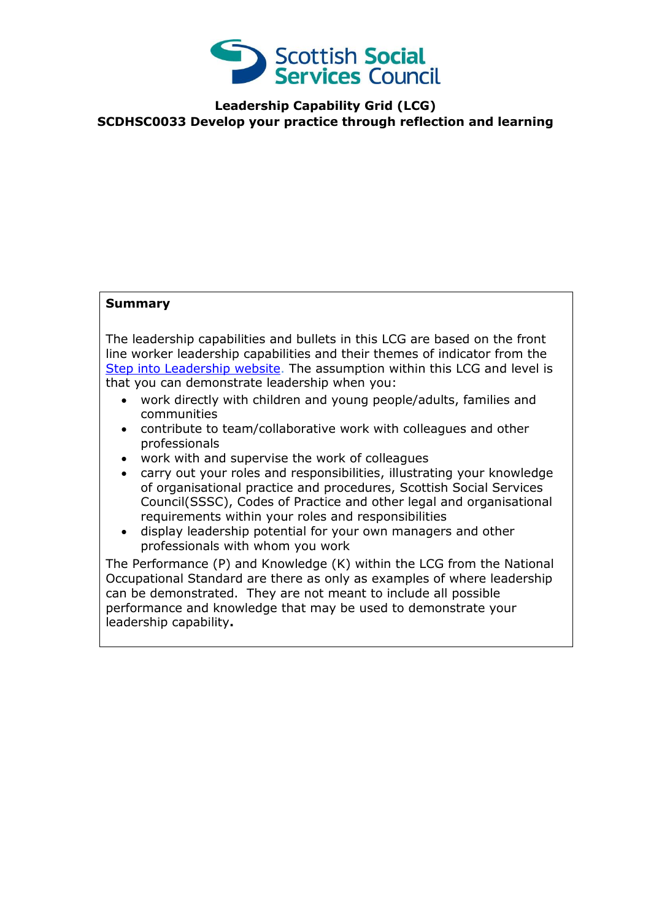

**Leadership Capability Grid (LCG) SCDHSC0033 Develop your practice through reflection and learning**

## **Summary**

The leadership capabilities and bullets in this LCG are based on the front line worker leadership capabilities and their themes of indicator from the [Step into Leadership website.](http://www.stepintoleadership.info/) The assumption within this LCG and level is that you can demonstrate leadership when you:

- work directly with children and young people/adults, families and communities
- contribute to team/collaborative work with colleagues and other professionals
- work with and supervise the work of colleagues
- carry out your roles and responsibilities, illustrating your knowledge of organisational practice and procedures, Scottish Social Services Council(SSSC), Codes of Practice and other legal and organisational requirements within your roles and responsibilities
- display leadership potential for your own managers and other professionals with whom you work

The Performance (P) and Knowledge (K) within the LCG from the National Occupational Standard are there as only as examples of where leadership can be demonstrated. They are not meant to include all possible performance and knowledge that may be used to demonstrate your leadership capability**.**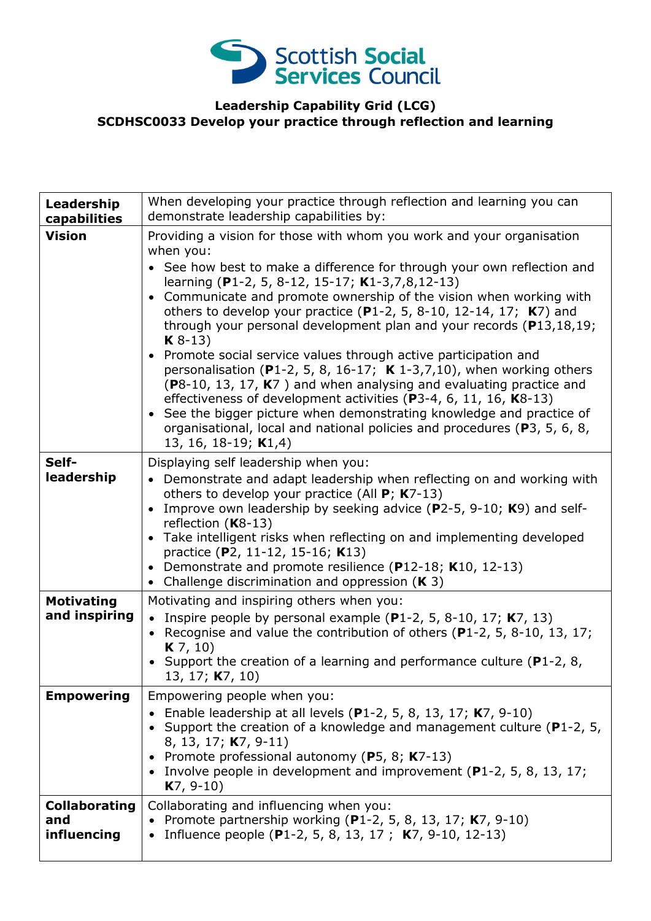

## **Leadership Capability Grid (LCG) SCDHSC0033 Develop your practice through reflection and learning**

| Leadership<br>capabilities                 | When developing your practice through reflection and learning you can<br>demonstrate leadership capabilities by:                                                                                                                                                                                                                                                                                                                                                                                                                                                                                                                                                                                                                                                                                                                                                                                                                               |
|--------------------------------------------|------------------------------------------------------------------------------------------------------------------------------------------------------------------------------------------------------------------------------------------------------------------------------------------------------------------------------------------------------------------------------------------------------------------------------------------------------------------------------------------------------------------------------------------------------------------------------------------------------------------------------------------------------------------------------------------------------------------------------------------------------------------------------------------------------------------------------------------------------------------------------------------------------------------------------------------------|
| <b>Vision</b>                              | Providing a vision for those with whom you work and your organisation<br>when you:<br>• See how best to make a difference for through your own reflection and<br>learning (P1-2, 5, 8-12, 15-17; K1-3,7,8,12-13)<br>Communicate and promote ownership of the vision when working with<br>others to develop your practice (P1-2, 5, 8-10, 12-14, 17; $K$ 7) and<br>through your personal development plan and your records ( $P$ 13,18,19;<br>$K8-13$<br>Promote social service values through active participation and<br>personalisation (P1-2, 5, 8, 16-17; $\boldsymbol{K}$ 1-3,7,10), when working others<br>( $P8-10$ , 13, 17, $K7$ ) and when analysing and evaluating practice and<br>effectiveness of development activities (P3-4, 6, 11, 16, K8-13)<br>• See the bigger picture when demonstrating knowledge and practice of<br>organisational, local and national policies and procedures (P3, 5, 6, 8,<br>13, 16, 18-19; $K1,4$ ) |
| Self-<br>leadership                        | Displaying self leadership when you:<br>• Demonstrate and adapt leadership when reflecting on and working with<br>others to develop your practice (All $P$ ; K7-13)<br>Improve own leadership by seeking advice (P2-5, 9-10; K9) and self-<br>$\bullet$<br>reflection $(K8-13)$<br>Take intelligent risks when reflecting on and implementing developed<br>practice (P2, 11-12, 15-16; K13)<br>Demonstrate and promote resilience (P12-18; K10, 12-13)<br>$\bullet$<br>Challenge discrimination and oppression $(K 3)$<br>$\bullet$                                                                                                                                                                                                                                                                                                                                                                                                            |
| <b>Motivating</b><br>and inspiring         | Motivating and inspiring others when you:<br>• Inspire people by personal example (P1-2, 5, 8-10, 17; $K7$ , 13)<br>Recognise and value the contribution of others $(P1-2, 5, 8-10, 13, 17)$<br>$K$ 7, 10)<br>• Support the creation of a learning and performance culture ( $P1-2$ , 8,<br>13, 17; <b>K</b> 7, 10)                                                                                                                                                                                                                                                                                                                                                                                                                                                                                                                                                                                                                            |
| <b>Empowering</b>                          | Empowering people when you:<br>• Enable leadership at all levels (P1-2, 5, 8, 13, 17; $K7$ , 9-10)<br>• Support the creation of a knowledge and management culture ( $P1-2$ , 5,<br>8, 13, 17; <b>K</b> 7, 9-11)<br>Promote professional autonomy (P5, 8; K7-13)<br>• Involve people in development and improvement (P1-2, 5, 8, 13, 17;<br>$K7, 9-10$                                                                                                                                                                                                                                                                                                                                                                                                                                                                                                                                                                                         |
| <b>Collaborating</b><br>and<br>influencing | Collaborating and influencing when you:<br>• Promote partnership working (P1-2, 5, 8, 13, 17; K7, 9-10)<br>Influence people (P1-2, 5, 8, 13, 17; K7, 9-10, 12-13)                                                                                                                                                                                                                                                                                                                                                                                                                                                                                                                                                                                                                                                                                                                                                                              |